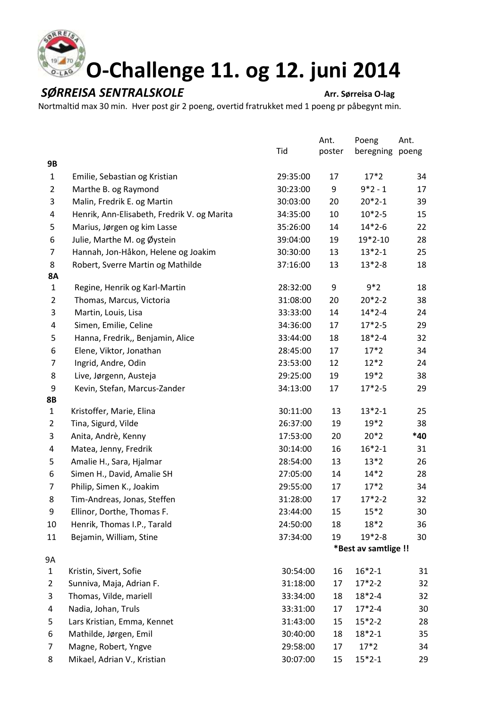

## **SØRREISA SENTRALSKOLE**<br>
Arr. Sørreisa O-lag

Nortmaltid max 30 min. Hver post gir 2 poeng, overtid fratrukket med 1 poeng pr påbegynt min.

|                           |                                             |          | Ant.   | Poeng                | Ant.  |
|---------------------------|---------------------------------------------|----------|--------|----------------------|-------|
|                           |                                             | Tid      | poster | beregning            | poeng |
| 9B                        |                                             |          |        |                      |       |
| $\mathbf{1}$              | Emilie, Sebastian og Kristian               | 29:35:00 | 17     | $17*2$               | 34    |
| $\overline{2}$            | Marthe B. og Raymond                        | 30:23:00 | 9      | $9*2-1$              | 17    |
| 3                         | Malin, Fredrik E. og Martin                 | 30:03:00 | 20     | $20*2-1$             | 39    |
| 4                         | Henrik, Ann-Elisabeth, Fredrik V. og Marita | 34:35:00 | 10     | $10*2-5$             | 15    |
| 5                         | Marius, Jørgen og kim Lasse                 | 35:26:00 | 14     | $14*2-6$             | 22    |
| 6                         | Julie, Marthe M. og Øystein                 | 39:04:00 | 19     | $19*2-10$            | 28    |
| 7                         | Hannah, Jon-Håkon, Helene og Joakim         | 30:30:00 | 13     | $13*2-1$             | 25    |
| 8                         | Robert, Sverre Martin og Mathilde           | 37:16:00 | 13     | $13*2-8$             | 18    |
| <b>8A</b><br>$\mathbf{1}$ | Regine, Henrik og Karl-Martin               | 28:32:00 | 9      | $9*2$                | 18    |
| $\overline{2}$            | Thomas, Marcus, Victoria                    | 31:08:00 | 20     | $20*2-2$             | 38    |
| 3                         | Martin, Louis, Lisa                         | 33:33:00 | 14     | $14*2-4$             | 24    |
| 4                         | Simen, Emilie, Celine                       | 34:36:00 | 17     | $17*2-5$             | 29    |
| 5                         | Hanna, Fredrik,, Benjamin, Alice            | 33:44:00 | 18     | $18*2-4$             | 32    |
| 6                         | Elene, Viktor, Jonathan                     | 28:45:00 | 17     | $17*2$               | 34    |
| 7                         | Ingrid, Andre, Odin                         | 23:53:00 | 12     | $12*2$               | 24    |
| 8                         | Live, Jørgenn, Austeja                      | 29:25:00 | 19     | $19*2$               | 38    |
| 9                         | Kevin, Stefan, Marcus-Zander                | 34:13:00 | 17     | $17*2-5$             | 29    |
| 8B                        |                                             |          |        |                      |       |
| $\mathbf{1}$              | Kristoffer, Marie, Elina                    | 30:11:00 | 13     | $13*2-1$             | 25    |
| $\overline{2}$            | Tina, Sigurd, Vilde                         | 26:37:00 | 19     | $19*2$               | 38    |
| 3                         | Anita, Andrè, Kenny                         | 17:53:00 | 20     | $20*2$               | *40   |
| 4                         | Matea, Jenny, Fredrik                       | 30:14:00 | 16     | $16*2-1$             | 31    |
| 5                         | Amalie H., Sara, Hjalmar                    | 28:54:00 | 13     | $13*2$               | 26    |
| 6                         | Simen H., David, Amalie SH                  | 27:05:00 | 14     | $14*2$               | 28    |
| 7                         | Philip, Simen K., Joakim                    | 29:55:00 | 17     | $17*2$               | 34    |
| 8                         | Tim-Andreas, Jonas, Steffen                 | 31:28:00 | 17     | $17*2-2$             | 32    |
| 9                         | Ellinor, Dorthe, Thomas F.                  | 23:44:00 | 15     | $15*2$               | 30    |
| 10                        | Henrik, Thomas I.P., Tarald                 | 24:50:00 | 18     | $18*2$               | 36    |
| 11                        | Bejamin, William, Stine                     | 37:34:00 | 19     | $19*2-8$             | 30    |
|                           |                                             |          |        | *Best av samtlige !! |       |
| 9Α                        |                                             |          |        |                      |       |
| $\mathbf{1}$              | Kristin, Sivert, Sofie                      | 30:54:00 | 16     | $16*2-1$             | 31    |
| 2                         | Sunniva, Maja, Adrian F.                    | 31:18:00 | 17     | $17*2-2$             | 32    |
| 3                         | Thomas, Vilde, mariell                      | 33:34:00 | 18     | $18*2-4$             | 32    |
| 4                         | Nadia, Johan, Truls                         | 33:31:00 | 17     | $17*2-4$             | 30    |
| 5                         | Lars Kristian, Emma, Kennet                 | 31:43:00 | 15     | $15*2-2$             | 28    |
| 6                         | Mathilde, Jørgen, Emil                      | 30:40:00 | 18     | $18*2-1$             | 35    |
| 7                         | Magne, Robert, Yngve                        | 29:58:00 | 17     | $17*2$               | 34    |
| 8                         | Mikael, Adrian V., Kristian                 | 30:07:00 | 15     | $15*2-1$             | 29    |